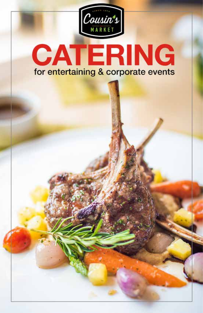

# **CATERING**<br>for entertaining & corporate events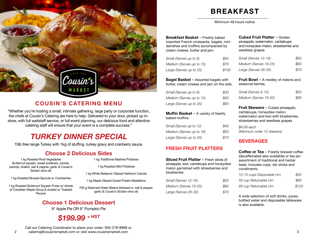

# **COUSIN'S CATERING MENU**

"Whether you're hosting a small, intimate gathering, large party or corporate function, the chefs at Cousin's Catering are here to help. Delivered to your door, picked up instore, with full waitstaff service, or full event planning, our delicious food and attentive catering staff will ensure that your event is a complete success."

# *TURKEY DINNER SPECIAL*

15lb free range Turkey with 1kg of stuffing, turkey gravy and cranberry sauce.

# **Choose 2 Delicious Sides**

1 kg Roasted Root Vegetables (butternut squash, sweet potatoes, carrots, parsnip, shallot, salt & pepper, garlic & Cousin's Sicilian olive oil)

1 kg Roasted Brussel Sprouts w. Cranberries

1 kg Roasted Butternut Squash Puree w/ drizzle of Canadian Maple Syrup & dusted w/ Toasted Pecans

## 1 kg Traditional Mashed Potatoes

- 1 kg Roasted Mini Potatoes
- 1 kg White Balsamic Glazed Heirloom Carrots
- 1 kg Maple Glazed Sweet Potato Medallions

700 g Steamed Green Beans (dressed w. salt & pepper, garlic & Cousin's Sicilian olive oil)

# **Choose 1 Delicious Dessert**

9" Apple Pie OR 9" Pumpkin Pie

# *\$199.99 + HST*

**Breakfast Basket** – Freshly baked imported French croissants, bagels, mini danishes and muffins accompanied by cream cheese, butter and jam.

| Small (Serves up to 8)   | \$50  |
|--------------------------|-------|
| Medium (Serves up to 15) | \$70  |
| Large (Serves up to 25)  | \$100 |

**Bagel Basket** – Assorted bagels with butter, cream cheese and jam on the side.

| Small (Serves up to 8)   | \$30 |
|--------------------------|------|
| Medium (Serves up to 15) | \$45 |
| Large (Serves up to 25)  | \$60 |

**Muffin Basket** – A variety of freshly baked muffins.

| Small (Serves up to 12)  | \$40 |
|--------------------------|------|
| Medium (Serves up to 16) | \$50 |
| Large (Serves up to 20)  | \$70 |

## **FRESH FRUIT PLATTERS**

**Sliced Fruit Platter** – Fresh slices of pineapple, kiwi, cantaloupe and honeydew melon garnished with strawberries and blueberries

| Small (Serves 12-18)  | \$50 |
|-----------------------|------|
| Medium (Serves 19-25) | \$60 |
| Large (Serves 26-30)  | \$70 |

# **BREAKFAST**

Minimum 48 hours notice

**Cubed Fruit Platter** – Golden pineapple, watermelon, cantaloupe and honeydew melon, strawberries and seedless grapes

| Small (Serves 12-18)  | \$50 |
|-----------------------|------|
| Medium (Serves 19-25) | \$60 |
| Large (Serves 26-30)  | \$70 |

**Fruit Bowl** – A medley of melons and seasonal berries.

| Small (Serves 8-15)   | \$50 |
|-----------------------|------|
| Medium (Serves 16-30) | \$80 |

**Fruit Skewers** – Cubed pineapple, cantaloupe, honeydew melon, watermelon and kiwi with blueberries, strawberries and seedless grapes

*\$4.99 each (Minimum order 12 skewers)*

## **BEVERAGES**

**Coffee or Tea** – Freshly brewed coffee (decaffeinated also available) or tea (an assortment of traditional and herbal teas). Includes cups, stir sticks and condiments.

| 12-15 cups Disposable Urn | \$35  |
|---------------------------|-------|
| 50 cup Returnable Urn     | \$90  |
| 80 cup Returnable Urn     | \$120 |

A wide selection of soft drinks, juices, bottled water and disposable tableware is also available.

Call our Catering Coordinator to place your order: 905-278-8899 or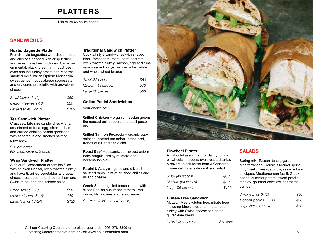# **PLATTERS**

Minimum 48 hours notice

## **SANDWICHES**

#### **Rustic Baguette Platter**

French-style baguettes with sliced meats and cheeses, topped with crisp lettuce and sweet tomatoes. Includes: Canadian emmental, black forest ham, roast beef, oven cooked turkey breast and Montreal smoked beef. Italian Option: Mortadella, sweet genoa, hot calabrese sopressata and dry cured prosciutto with provolone cheese

| Small (serves 6-12)  | \$60  |
|----------------------|-------|
| Medium (serves 9-18) | \$80  |
| Large (serves 12-24) | \$100 |

#### **Tea Sandwich Platter**

Crustless, bite size sandwiches with an assortment of tuna, egg, chicken, ham and curried chicken salads garnished with asparagus and smoked salmon pinwheels.

*\$20 per dozen (Minimum order of 3 dozen)*

#### **Wrap Sandwich Platter**

A colourful assortment of tortillas filled with chicken Caesar, oven roasted turkey and havarti, grilled vegetables and goat cheese, roast beef and cheddar, ham and Swiss, tuna, egg and salmon salad

| Small (serves 5-10)  | \$60  |
|----------------------|-------|
| Medium (serves 8-16) | \$80  |
| Large (serves 12-24) | \$120 |

#### **Traditional Sandwich Platter**

Cocktail style sandwiches with shaved black forest ham, roast beef, pastrami, oven roasted turkey, salmon, egg and tuna salads served on rye, pumpernickel, white and whole wheat breads

| Small (32 pieces)  | \$50 |
|--------------------|------|
| Medium (48 pieces) | \$70 |
| Large (64 pieces)  | S90  |

#### **Grilled Panini Sandwiches**

Your choice of:

**Grilled Chicken** – organic mesclun greens, fire roasted bell peppers and basil pesto aioli

**Grilled Salmon Focaccia** – organic baby spinach, shaved red onion, lemon zest, fronds of dill and garlic aioli

**Roast Beef** – balsamic carmelized onions, baby arugula, grainy mustard and horseradish aioli

**Rapini & Asiago** – garlic and olive oil sautéed rapini, hint of crushed chilies and asiago cheese

**Greek Salad** – grilled focaccia bun with sliced English cucumber, tomato, red onion, black olives and feta cheese

*\$11 each (minimum order of 6)*



#### **Pinwheel Platter**

A colourful assortment of dainty tortilla pinwheels. Includes; oven roasted turkey & havarti, black forest ham & Canadian Emmental, tuna, salmon & egg salad

| Small (40 pieces)  | \$60  |
|--------------------|-------|
| Medium (64 pieces) | \$80  |
| Large (96 pieces)  | \$120 |

#### **Gluten-Free Sandwich**

McLean Meats (gluten free, nitrate free) including black forest ham, roast beef, turkey with Swiss cheese served on gluten-free bread

*Individual sandwich \$12 each*

**SALADS**

Spring mix, Tuscan Italian, garden, Mediterranean, Cousin's Market spring mix, Greek, Caesar, arugula, sesame kale, chickpea, Mediterranean fusilli, Greek penne, summer potato, sweet potato medley, gourmet coleslaw, edamame, quinoa

| Small (serves 6-10)   | \$50 |
|-----------------------|------|
| Medium (serves 11-16) | \$60 |
| Large (serves 17-24)  | \$70 |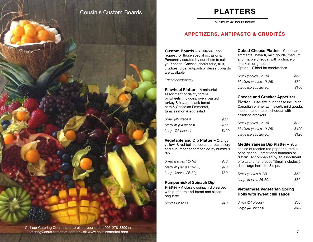# Cousin's Custom Boards

# **PLATTERS**

Minimum 48 hours notice

# **APPETIZERS, ANTIPASTO & CRUDITÉS**

**Custom Boards** – Available upon request for those special occasions. Personally curated by our chefs to suit your needs. Cheese, charcuterie, fruit, crudités, dips, antipasti or dessert boards are available.

*Priced accordingly*

**Pinwheel Platter** – A colourful assortment of dainty tortilla pinwheels. Includes; oven roasted turkey & havarti, black forest ham & Canadian Emmental, tuna, salmon & egg salad

| Small (40 pieces)  | \$60  |
|--------------------|-------|
| Medium (64 pieces) | \$80  |
| Large (96 pieces)  | \$120 |

**Vegetable and Dip Platter** – Orange, yellow, & red bell peppers, carrots, celery and cucumber accompanied by hummus dip.

| Small (serves 12-18)  | \$50 |
|-----------------------|------|
| Medium (serves 19-25) | \$70 |
| Large (serves 26-30)  | \$80 |

#### **Pumpernickel Spinach Dip**

**Platter** - A classic spinach dip served with pumpernickel bread and sliced baguette.

*Serves up to 20 \$40*

#### **Cubed Cheese Platter** – Canadian

emmental, havarti, mild gouda, medium and marble cheddar with a choice of crackers or grapes. Option – Sliced for sandwiches

| Small (serves 12-18)  | \$60  |
|-----------------------|-------|
| Medium (serves 19-25) | \$80  |
| Large (serves 26-30)  | \$100 |

#### **Cheese and Cracker Appetizer**

**Platter** - Bite-size cut cheese including Canadian emmental, havarti, mild gouda, medium and marble cheddar with assorted crackers.

| Small (serves 12-18)  | \$80  |
|-----------------------|-------|
| Medium (serves 19-25) | \$100 |
| Large (serves 26-30)  | \$120 |

**Mediterranean Dip Platter** – Your choice of roasted red pepper hummus, baba ghanouj, traditional hummus or tzatziki. Accompanied by an assortment of pita and flat breads \*Small includes 2 dips, large includes 3 dips.

| Small (serves 8-12)  | \$50 |
|----------------------|------|
| Large (serves 25-30) | \$80 |

#### **Vietnamese Vegetarian Spring Rolls with sweet chili sauce**

| Small (24 pieces) | \$50  |
|-------------------|-------|
| Large (48 pieces) | \$100 |

Call our Catering Coordinator to place your order: 905-278-8899 or catering@cousinsmarket.com or visit www.cousinsmarket.com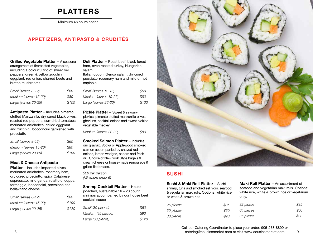# **PLATTERS**

Minimum 48 hours notice

## **APPETIZERS, ANTIPASTO & CRUDITÉS**

**Grilled Vegetable Platter** – A seasonal arrangement of fireroasted vegetables, including a colourful trio of sweet bell peppers, green & yellow zucchini, eggplant, red onion, charred beets and button mushrooms

| Small (serves 8-12)   | \$60  |
|-----------------------|-------|
| Medium (serves 15-20) | \$80  |
| Large (serves 20-25)  | \$100 |

**Antipasto Platter** – Includes pimento stuffed Manzanilla, dry cured black olives, roasted red peppers, sun-dried tomatoes, marinated artichokes, grilled eggplant and zucchini, bocconcini garnished with prosciutto

| Small (serves 8-12)   | \$60  |
|-----------------------|-------|
| Medium (serves 15-20) | \$80  |
| Large (serves 20-25)  | \$100 |

#### **Meat & Cheese Antipasto**

**Platter** – Includes imported olives, marinated artichokes, rosemary ham, dry cured prosciutto, spicy Calabrese sopressato, mild genoa, rolatto di coppa formaggio, bocconcini, provolone and bellavitano cheese

| Small (serves 8-12)   | \$80  |
|-----------------------|-------|
| Medium (serves 15-20) | \$100 |
| Large (serves 20-25)  | \$120 |

**Deli Platter** – Roast beef, black forest ham, oven roasted turkey, Hungarian salami.

Italian option: Genoa salami, dry cured prosciutto, rosemary ham and mild or hot capicolo

|    | Small (serves 12-18)  | \$60  |
|----|-----------------------|-------|
|    | Medium (serves 19-25) | \$80  |
| 20 | Large (serves 26-30)  | \$100 |

**Pickle Platter** – Sweet & savoury pickles, pimento stuffed manzanillo olives, gherkins, cocktail onions and sweet pickled vegetable medley

*Medium (serves 20-30) \$80*

**Smoked Salmon Platter** – Includes our gravlax, Vodka or Applewood smoked salmon accompanied by shaved red onions, lemon wedges, capers and fresh dill. Choice of New York Style bagels & cream cheese or house-made remoulade & grilled flat breads.

*\$20 per person (Minimum order 6)*

**Shrimp Cocktail Platter** – House poached, sustainable 16 – 20 count shrimps accompanied by our house beet cocktail sauce

| Small (30 pieces)  | \$60  |
|--------------------|-------|
| Medium (45 pieces) | \$90  |
| Large (60 pieces)  | \$120 |



## **SUSHI**

**Sushi & Maki Roll Platter** – Sushi, shrimp, tuna and smoked eel nigiri, seafood

& vegetarian maki rolls. Options: white rice or white & brown rice

| 26 pieces | \$35 | 32 pieces | \$35 |
|-----------|------|-----------|------|
| 50 pieces | \$60 | 64 pieces | \$60 |
| 80 pieces | \$90 | 96 pieces | \$90 |

only.

**Maki Roll Platter** – An assortment of seafood and vegetarian maki rolls. Options: white rice, white & brown rice or vegetarian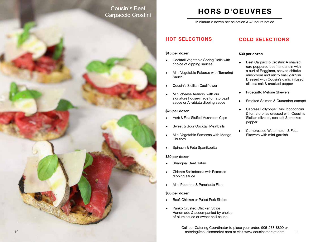# Cousin's Beef Carpaccio Crostini

# **HORS D'OEUVRES**

Minimum 2 dozen per selection & 48 hours notice

## **HOT SELECTIONS**

#### **\$15 per dozen**

- Cocktail Vegetable Spring Rolls with choice of dipping sauces
- Mini Vegetable Pakoras with Tamarind Sauce
- Cousin's Sicilian Cauliflower
- Mini cheese Arancini with our signature house-made tomato basil sauce or Arrabiata dipping sauce

#### **\$25 per dozen**

- Herb & Feta Stuffed Mushroom Caps
- Sweet & Sour Cocktail Meatballs
- $\blacktriangleright$  Mini Vegetable Samosas with Mango **Chutney**
- ▶ Spinach & Feta Spanikopita

#### **\$30 per dozen**

- Shanghai Beef Satay
- **Chicken Saltimbocca with Remesco** dipping sauce
- Mini Pecorino & Panchetta Flan

#### **\$36 per dozen**

- Beef, Chicken or Pulled Pork Sliders
- ▶ Panko Crusted Chicken Strips Handmade & accompanied by choice of plum sauce or sweet chili sauce

## **COLD SELECTIONS**

#### **\$30 per dozen**

- Beef Carpaccio Crostini: A shaved, rare peppered beef tenderloin with a curl of Reggiano, shaved shitake mushroom and micro basil garnish. Dressed with Cousin's garlic infused oil, sea salt & cracked pepper
- Prosciutto Melone Skewers
- Smoked Salmon & Cucumber canapé
- ▶ Caprese Lollypops: Basil bocconcini & tomato bites dressed with Cousin's Sicilian olive oil, sea salt & cracked pepper
- ▶ Compressed Watermelon & Feta Skewers with mint garnish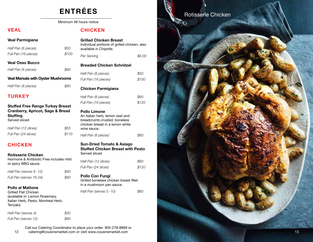# **ENTRÉES**

Minimum 48 hours notice

# **VEAL**

#### **Veal Parmigiana**

| Half Pan (8 pieces)                       | \$50  | Individual po<br>available in C |
|-------------------------------------------|-------|---------------------------------|
| Full Pan (16 pieces)                      | \$100 | Per Serving                     |
| <b>Veal Osso Bucco</b>                    |       | <b>Breaded C</b>                |
| Half Pan (6 pieces)                       | \$90  | Half Pan (8 p.                  |
| <b>Veal Marsala with Oyster Mushrooms</b> |       | Full Pan (16 r                  |
| Half Pan (8 pieces)                       | \$80  | <b>Chicken Pa</b>               |

## **TURKEY**

| <b>Stuffed Free Range Turkey Breast</b> |  |
|-----------------------------------------|--|
| Cranberry, Apricot, Sage & Bread        |  |
| Stuffina                                |  |
| Served sliced                           |  |
|                                         |  |

| Half Pan (12 slices) | \$55  |
|----------------------|-------|
| Full Pan (24 slices) | \$110 |

# **CHICKEN**

#### **Rotisserie Chicken**

Hormone & Antibiotic Free includes mild or spicy BBQ sauce.

| Half Pan (serves 8 -12) | \$40 |
|-------------------------|------|
| Full Pan (serves 16-24) | \$80 |

#### **Pollo al Mattone**

Grilled Flat Chicken (available in: Lemon Rosemary, Italian Herb, Pesto, Montreal Herb, Teriyaki)

| Half Pan (serves 4)  | \$30 |
|----------------------|------|
| Full Pan (serves 12) | \$90 |

# **CHICKEN**

| Grilled Chicken Breast<br>Individual portions of grilled chicken, also<br>available in Chipotle. |               |
|--------------------------------------------------------------------------------------------------|---------------|
| Per Serving                                                                                      | \$8.00        |
| <b>Breaded Chicken Schnitzel</b>                                                                 |               |
| Half Pan (8 pieces)<br>Full Pan (16 pieces)                                                      | \$50<br>\$100 |
| <b>Chicken Parmigiana</b>                                                                        |               |
| Half Pan (8 pieces)<br>Full Pan (16 pieces)                                                      | \$60<br>\$120 |

## **Pollo Limone**

| An Italian herb, lemon zest and |  |
|---------------------------------|--|
| breadcrumb crusted, boneless    |  |
| chicken breast in a lemon white |  |
| wine sauce.                     |  |
| Half Pan (8 pieces)`            |  |

#### **Sun-Dried Tomato & Asiago Stuffed Chicken Breast with Pesto** Served sliced

| Half Pan (12 slices) | \$60  |
|----------------------|-------|
| Full Pan (24 slices) | \$120 |

**Pollo Con Fungi** Grilled boneless chicken breast fillet in a mushroom pan sauce.

*Half Pan (serves 5 -10) \$60*



Call our Catering Coordinator to place your order: 905-278-8899 or 12 catering@cousinsmarket.com or visit www.cousinsmarket.com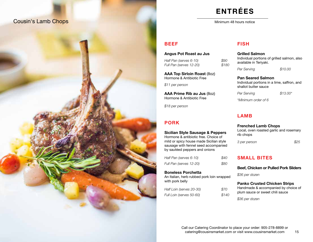# Cousin's Lamb Chops



# **ENTRÉES**

Minimum 48 hours notice

## **BEEF**

#### **Angus Pot Roast au Jus**

*Half Pan (serves 6-10) \$90 Full Pan (serves 12-20)* 

**AAA Top Sirloin Roast** (8oz) Hormone & Antibiotic Free

*\$11 per person*

**AAA Prime Rib au Jus** (8oz) Hormone & Antibiotic Free

*\$18 per person*

# **PORK**

#### **Sicilian Style Sausage & Peppers**

Hormone & antibiotic free. Choice of mild or spicy house made Sicilian style sausage with fennel seed accompanied by sautéed peppers and onions

| Half Pan (serves 6-10)  | \$40 |
|-------------------------|------|
| Full Pan (serves 12-20) | \$80 |

#### **Boneless Porchetta**

An Italian, herb rubbed pork loin wrapped with pork belly

| Half Loin (serves 20-30) | \$70  |
|--------------------------|-------|
| Full Loin (serves 50-60) | \$140 |

# **FISH**

#### **Grilled Salmon**

Individual portions of grilled salmon, also available in Teriyaki.

*Per Serving \$10.00*

**Pan Seared Salmon**

Individual portions in a lime, saffron, and shallot butter sauce

*Per Serving \$13.00\**

*\*Minimum order of 6*

## **LAMB**

#### **Frenched Lamb Chops**

Local, oven roasted garlic and rosemary rib chops

*3 per person \$25*

15

## **SMALL BITES**

#### **Beef, Chicken or Pulled Pork Sliders**

*\$36 per dozen*

#### **Panko Crusted Chicken Strips**

Handmade & accompanied by choice of plum sauce or sweet chili sauce

*\$36 per dozen*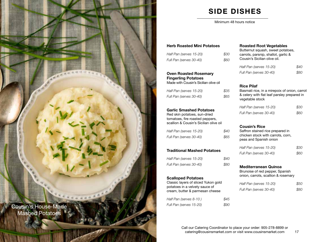

# **SIDE DISHES**

Minimum 48 hours notice

#### **Herb Roasted Mini Potatoes**

| Half Pan (serves 15-20) | \$30 |
|-------------------------|------|
| Full Pan (serves 30-40) | \$60 |

**Oven Roasted Rosemary Fingerling Potatoes** Made with Cousin's Sicilian olive oil

| Half Pan (serves 15-20) | \$35 |
|-------------------------|------|
| Full Pan (serves 30-40) | \$65 |

#### **Garlic Smashed Potatoes**

Red skin potatoes, sun-dried tomatoes, fire roasted peppers, scallion & Cousin's Sicilian olive oil

| Half Pan (serves 15-20) | \$40 |
|-------------------------|------|
| Full Pan (serves 30-40) | \$65 |

#### **Traditional Mashed Potatoes**

| Half Pan (serves 15-20) | \$40 |
|-------------------------|------|
| Full Pan (serves 30-40) | \$80 |

#### **Scalloped Potatoes**

Classic layers of sliced Yukon gold potatoes in a velvety sauce of cream, butter & parmesan cheese

| Half Pan (serves 8-10 ) | \$45 |
|-------------------------|------|
| Full Pan (serves 15-20) | \$90 |

#### **Roasted Root Vegetables**

Butternut squash, sweet potatoes, carrots, parsnip, shallot, garlic & Cousin's Sicilian olive oil.

| Half Pan (serves 15-20) | \$40 |
|-------------------------|------|
| Full Pan (serves 30-40) | \$80 |

#### **Rice Pilaf**

Basmati rice, in a mirepoix of onion, carrot & celery with flat leaf parsley prepared in vegetable stock

| Half Pan (serves 15-20) | \$30 |
|-------------------------|------|
| Full Pan (serves 30-40) | \$60 |

#### **Cousin's Rice**

Saffron stained rice prepared in chicken stock with carrots, corn, peas and Spanish onion

| Half Pan (serves 15-20) | \$30 |
|-------------------------|------|
| Full Pan (serves 30-40) | \$60 |

#### **Mediterranean Quinoa**

Brunoise of red pepper, Spanish onion, carrots, scallion & rosemary

| Half Pan (serves 15-20) | \$50 |
|-------------------------|------|
| Full Pan (serves 30-40) | \$80 |

Call our Catering Coordinator to place your order: 905-278-8899 or catering@cousinsmarket.com or visit www.cousinsmarket.com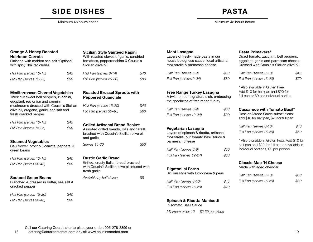# **SIDE DISHES**

Minimum 48 hours notice

# **PASTA**

Minimum 48 hours notice

#### **Orange & Honey Roasted Heirloom Carrots**

Finished with maldon sea salt \*Optional with spicy Thai red chillies

| Half Pan (serves 10-15) | \$45 |
|-------------------------|------|
| Full Pan (serves 15-25) | \$90 |

#### **Mediterranean Charred Vegetables**

Thick cut sweet bell peppers, zucchini, eggplant, red onion and cremini mushrooms dressed with Cousin's Sicilian olive oil, oregano, garlic, sea salt and fresh cracked pepper

| Half Pan (serves 10-15) | \$45 |
|-------------------------|------|
| Full Pan (serves 15-25) | \$90 |

#### **Steamed Vegetables**

Cauliflower, broccoli, carrots, peppers, & green beans

| Half Pan (serves 10-15) | \$40 |
|-------------------------|------|
| Full Pan (serves 30-40) | \$80 |

#### **Sauteed Green Beans**

Blanched & dressed in butter, sea salt & cracked pepper

| Half Pan (serves 15-20) | \$40 |
|-------------------------|------|
| Full Pan (serves 30-40) | \$80 |

#### **Sicilian Style Sauteed Rapini**

With roasted cloves of garlic, sundried tomatoes, pepperonchino & Cousin's Sicilian olive oil *Half Pan (serves 8-14) \$40 Full Pan (serves 20-30) \$80*

#### **Roasted Brussel Sprouts with Peppered Guanciale**

| Half Pan (serves 15-20) | \$40 |
|-------------------------|------|
| Full Pan (serves 30-40) | \$80 |

**Grilled Artisanal Bread Basket** Assorted grilled breads, rolls and tarallli brushed with Cousin's Sicilian olive oil and garlic.

*Serves 15-30 \$50*

#### **Rustic Garlic Bread**



*Available by half dozen \$8*

#### **Meat Lasagna**

Layers of fresh-made pasta in our house bolognese sauce, local artisanal mozzarella & parmesan cheese *Half Pan (serves 6-9) \$50*

# *Full Pan (serves12-24) \$80*

#### **Free Range Turkey Lasagna**

A twist on our signature dish, embracing the goodness of free range turkey.

| Half Pan (serves 6-9)   | \$60 |
|-------------------------|------|
| Full Pan (serves 12-24) | S90  |

#### **Vegetarian Lasagna**

Layers of spinach & ricotta, artisanal mozzarella, our tomato basil sauce & parmesan cheese

| Half Pan (serves 6-9)   | \$50 |
|-------------------------|------|
| Full Pan (serves 12-24) | \$80 |

#### **Rigatoni al Forno**

Sicilian style with Bolognese & peas

| Half Pan (serves 8-10)  | \$45 |
|-------------------------|------|
| Full Pan (serves 16-20) | \$70 |

#### **Spinach & Ricotta Manicotti**

In Tomato Basil Sauce

*Minimum order 12 \$2.50 per piece*

#### **Pasta Primavera\***

Diced tomato, zucchini, bell peppers, eggplant, garlic and parmesan cheese. Dressed with Cousin's Sicilian olive oil *Half Pan (serves 8-10) \$45 Full Pan (serves 16-20) \$70* \* Also available in Gluten Free. Add \$10 for half pan and \$20 for full pan or \$9 per individual portion **Cassarece with Tomato Basil\*** Rosé or Alfredo Sauce substitutions: add \$10 for half pan, \$20 for full pan *Half Pan (serves 8-10) \$40 Full Pan (serves 16-20) \$60*

\* Also available in Gluten Free. Add \$10 for half pan and \$20 for full pan or available in individual portions, \$9 per person

**Classic Mac 'N Cheese** Made with aged cheddar

| Half Pan (serves 8-10)  | \$50 |
|-------------------------|------|
| Full Pan (serves 16-20) | \$80 |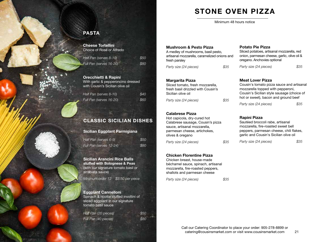# **STONE OVEN PIZZA**

Minimum 48 hours notice

# **PASTA**

**Cheese Tortellini** Choice of Rosé or Alfredo

| Half Pan (serves 8-10)  | \$50 |
|-------------------------|------|
| Full Pan (serves 16-20) | \$80 |

## **Orecchietti & Rapini**

With garlic & pepperoncino dressed with Cousin's Sicilian olive oil

| Half Pan (serves 8-10)  | <i>S<sub>40</sub></i> |
|-------------------------|-----------------------|
| Full Pan (serves 16-20) | <b>S60</b>            |

# **CLASSIC SICILIAN DISHES**

#### **Sicilian Eggplant Parmigiana**

| Half Pan (serves 6-9)   | \$50 |
|-------------------------|------|
| Full Pan (serves 12-24) | \$80 |

**Sicilian Arancini Rice Balls stuffed with Bolognese & Peas** (with our signature tomato basil or arrabiata sauce)

*Minimum order 12 \$3.50 per piece*

#### **Eggplant Cannelloni**

Spinach & ricotta stuffed involtini of sliced eggplant in our signature tomato basil sauce

| Half Pan (20 pieces) | <b>S50</b> |
|----------------------|------------|
| Full Pan (40 pieces) | \$80       |

#### **Mushroom & Pesto Pizza**

A medley of mushrooms, basil pesto, artisanal mozzarella, caramelized onions and fresh parsley

*Party size (24 pieces) \$35*

#### **Margarita Pizza**

Sliced tomato, fresh mozzarella, fresh basil drizzled with Cousin's Sicilian olive oil

*Party size (24 pieces) \$35*

#### **Calabrese Pizza**

Hot capicola, dry-cured hot Calabrese sausage, Cousin's pizza sauce, artisanal mozzarella, parmesan cheese, artichokes, olives & oregano

*Party size (24 pieces) \$35*

#### **Chicken Florentine Pizza**

Chicken breast, house-made béchamel sauce, spinach, artisanal mozzarella, fire-roasted peppers, shallots and parmesan cheese

*Party size (24 pieces) \$35*

#### **Potato Pie Pizza**

Sliced potatoes, artisanal mozzarella, red onion, parmesan cheese, garlic, olive oil & oregano. Anchovies optional

*Party size (24 pieces) \$35*

#### **Meat Lover Pizza**

Cousin's tomato pizza sauce and artisanal mozzarella topped with pepperoni, Cousin's Sicilian style sausage (choice of hot or sweet), bacon and ground beef

*Party size (24 pieces) \$35*

#### **Rapini Pizza**

Sautéed broccoli rabe, artisanal mozzarella, fire-roasted sweet bell peppers, parmesan cheese, chili flakes, garlic and Cousin's Sicilian olive oil

*Party size (24 pieces) \$35*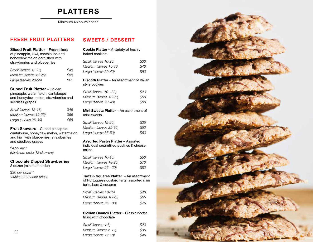# **PLATTERS**

Minimum 48 hours notice

## **FRESH FRUIT PLATTERS**

**Sliced Fruit Platter** – Fresh slices of pineapple, kiwi, cantaloupe and honeydew melon garnished with strawberries and blueberries

| Small (serves 12-18)  | \$45 |
|-----------------------|------|
| Medium (serves 19-25) | \$55 |
| Large (serves 26-30)  | \$65 |

#### **Cubed Fruit Platter** – Golden

pineapple, watermelon, cantaloupe and honeydew melon, strawberries and seedless grapes

| Small (serves 12-18)  | \$45 |
|-----------------------|------|
| Medium (serves 19-25) | \$55 |
| Large (serves 26-30)  | \$65 |

#### **Fruit Skewers** – Cubed pineapple,

cantaloupe, honeydew melon, watermelon and kiwi with blueberries, strawberries and seedless grapes

*\$4.99 each (Minimum order 12 skewers)*

#### **Chocolate Dipped Strawberries**

2 dozen (minimum order)

*\$30 per dozen\* \*subject to market prices*

# **SWEETS / DESSERT**

**Cookie Platter** – A variety of freshly baked cookies.

| Small (serves 10-20)  | \$30 |
|-----------------------|------|
| Medium (serves 15-30) | \$40 |
| Large (serves 20-40)  | \$50 |

#### **Biscotti Platter** - An assortment of Italian style cookies

| Small (serves 10 - 20) | \$40 |
|------------------------|------|
| Medium (serves 15-30)  | \$60 |
| Large (serves 20-40)   | \$80 |

#### **Mini Sweets Platter** – An assortment of mini sweets.

| Small (serves 15-25)  | \$35 |
|-----------------------|------|
| Medium (serves 25-35) | \$50 |
| Large (serves 35-50)  | \$60 |

#### **Assorted Pastry Platter** – Assorted

individual creamfilled pastries & cheese cakes

| Small (serves 10-15)   | \$50 |
|------------------------|------|
| Medium (serves 18-25)  | \$70 |
| Large (serves 26 - 30) | \$80 |

**Tarts & Squares Platter** – An assortment of Portuguese custard tarts, assorted mini tarts, bars & squares

| Small (Serves 10-15)   | \$40 |
|------------------------|------|
| Medium (serves 18-25)  | \$65 |
| Large (serves 26 - 30) | \$75 |

#### **Sicilian Cannoli Platter** – Classic ricotta filling with chocolate

| Small (serves 4-6)   | \$20 |
|----------------------|------|
| Medium (serves 6-12) | \$35 |
| Large (serves 12-18) | \$45 |